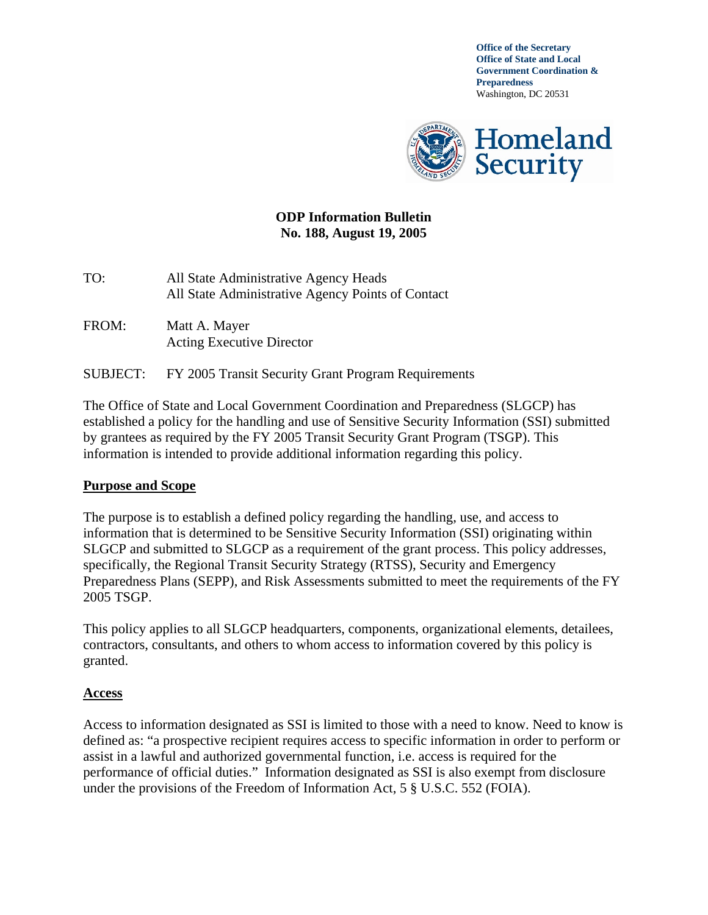**Office of the Secretary Office of State and Local Government Coordination & Preparedness**  Washington, DC 20531



#### **ODP Information Bulletin No. 188, August 19, 2005**

TO: All State Administrative Agency Heads All State Administrative Agency Points of Contact

- FROM: Matt A. Mayer Acting Executive Director
- SUBJECT: FY 2005 Transit Security Grant Program Requirements

The Office of State and Local Government Coordination and Preparedness (SLGCP) has established a policy for the handling and use of Sensitive Security Information (SSI) submitted by grantees as required by the FY 2005 Transit Security Grant Program (TSGP). This information is intended to provide additional information regarding this policy.

#### **Purpose and Scope**

The purpose is to establish a defined policy regarding the handling, use, and access to information that is determined to be Sensitive Security Information (SSI) originating within SLGCP and submitted to SLGCP as a requirement of the grant process. This policy addresses, specifically, the Regional Transit Security Strategy (RTSS), Security and Emergency Preparedness Plans (SEPP), and Risk Assessments submitted to meet the requirements of the FY 2005 TSGP.

This policy applies to all SLGCP headquarters, components, organizational elements, detailees, contractors, consultants, and others to whom access to information covered by this policy is granted.

#### **Access**

Access to information designated as SSI is limited to those with a need to know. Need to know is defined as: "a prospective recipient requires access to specific information in order to perform or assist in a lawful and authorized governmental function, i.e. access is required for the performance of official duties." Information designated as SSI is also exempt from disclosure under the provisions of the Freedom of Information Act, 5 § U.S.C. 552 (FOIA).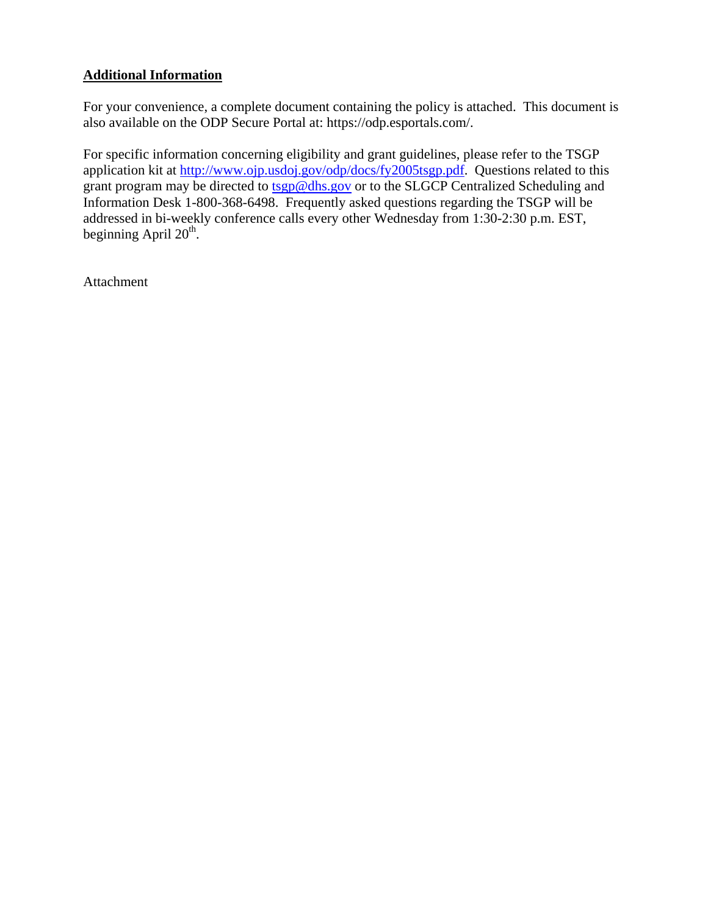# **Additional Information**

For your convenience, a complete document containing the policy is attached. This document is also available on the ODP Secure Portal at: https://odp.esportals.com/.

For specific information concerning eligibility and grant guidelines, please refer to the TSGP application kit at http://www.ojp.usdoj.gov/odp/docs/fy2005tsgp.pdf. Questions related to this grant program may be directed to tsgp@dhs.gov or to the SLGCP Centralized Scheduling and Information Desk 1-800-368-6498. Frequently asked questions regarding the TSGP will be addressed in bi-weekly conference calls every other Wednesday from 1:30-2:30 p.m. EST, beginning April  $20<sup>th</sup>$ .

Attachment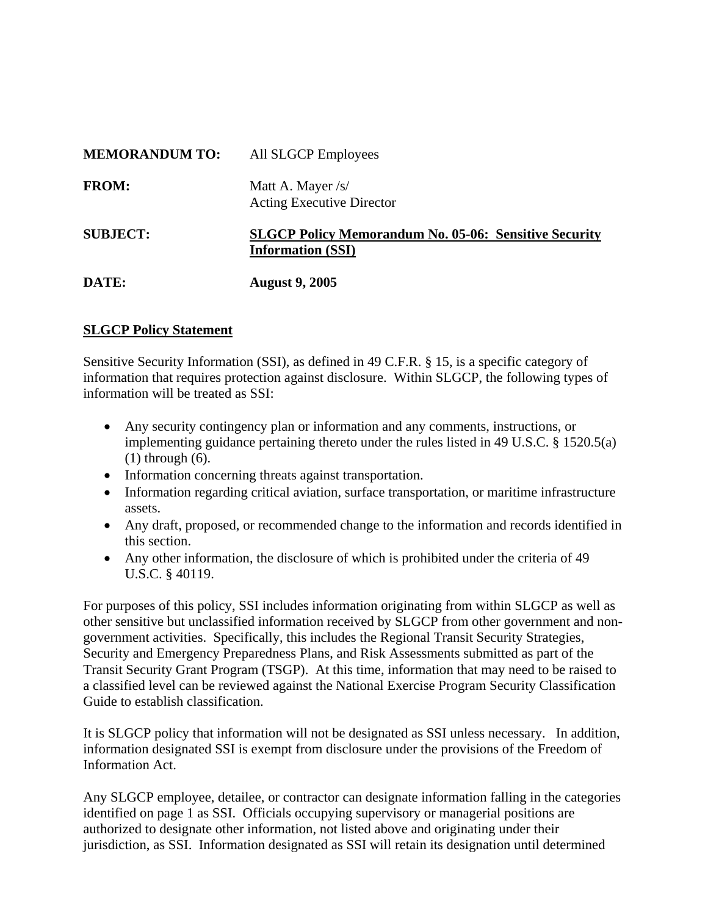| <b>MEMORANDUM TO:</b> | All SLGCP Employees                                                                      |
|-----------------------|------------------------------------------------------------------------------------------|
| <b>FROM:</b>          | Matt A. Mayer /s/<br><b>Acting Executive Director</b>                                    |
| <b>SUBJECT:</b>       | <b>SLGCP Policy Memorandum No. 05-06: Sensitive Security</b><br><b>Information (SSI)</b> |
| DATE:                 | <b>August 9, 2005</b>                                                                    |

# **SLGCP Policy Statement**

Sensitive Security Information (SSI), as defined in 49 C.F.R. § 15, is a specific category of information that requires protection against disclosure. Within SLGCP, the following types of information will be treated as SSI:

- Any security contingency plan or information and any comments, instructions, or implementing guidance pertaining thereto under the rules listed in 49 U.S.C. § 1520.5(a) (1) through (6).
- Information concerning threats against transportation.
- Information regarding critical aviation, surface transportation, or maritime infrastructure assets.
- Any draft, proposed, or recommended change to the information and records identified in this section.
- Any other information, the disclosure of which is prohibited under the criteria of 49 U.S.C. § 40119.

For purposes of this policy, SSI includes information originating from within SLGCP as well as other sensitive but unclassified information received by SLGCP from other government and nongovernment activities. Specifically, this includes the Regional Transit Security Strategies, Security and Emergency Preparedness Plans, and Risk Assessments submitted as part of the Transit Security Grant Program (TSGP). At this time, information that may need to be raised to a classified level can be reviewed against the National Exercise Program Security Classification Guide to establish classification.

It is SLGCP policy that information will not be designated as SSI unless necessary. In addition, information designated SSI is exempt from disclosure under the provisions of the Freedom of Information Act.

Any SLGCP employee, detailee, or contractor can designate information falling in the categories identified on page 1 as SSI. Officials occupying supervisory or managerial positions are authorized to designate other information, not listed above and originating under their jurisdiction, as SSI. Information designated as SSI will retain its designation until determined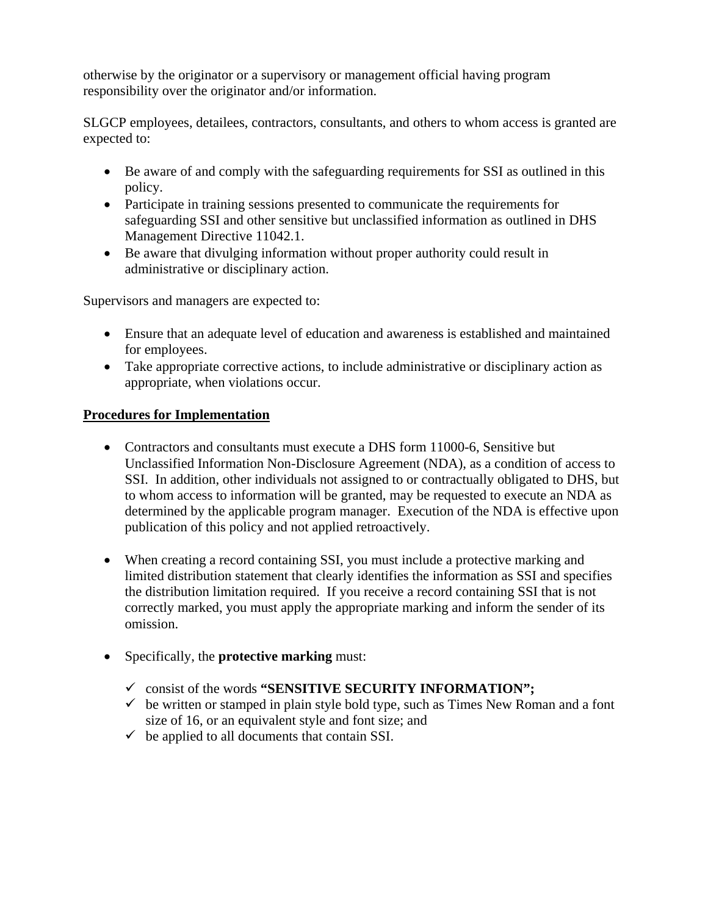otherwise by the originator or a supervisory or management official having program responsibility over the originator and/or information.

SLGCP employees, detailees, contractors, consultants, and others to whom access is granted are expected to:

- Be aware of and comply with the safeguarding requirements for SSI as outlined in this policy.
- Participate in training sessions presented to communicate the requirements for safeguarding SSI and other sensitive but unclassified information as outlined in DHS Management Directive 11042.1.
- Be aware that divulging information without proper authority could result in administrative or disciplinary action.

Supervisors and managers are expected to:

- Ensure that an adequate level of education and awareness is established and maintained for employees.
- Take appropriate corrective actions, to include administrative or disciplinary action as appropriate, when violations occur.

# **Procedures for Implementation**

- Contractors and consultants must execute a DHS form 11000-6, Sensitive but Unclassified Information Non-Disclosure Agreement (NDA), as a condition of access to SSI. In addition, other individuals not assigned to or contractually obligated to DHS, but to whom access to information will be granted, may be requested to execute an NDA as determined by the applicable program manager. Execution of the NDA is effective upon publication of this policy and not applied retroactively.
- When creating a record containing SSI, you must include a protective marking and limited distribution statement that clearly identifies the information as SSI and specifies the distribution limitation required. If you receive a record containing SSI that is not correctly marked, you must apply the appropriate marking and inform the sender of its omission.
- Specifically, the **protective marking** must:
	- 9 consist of the words **"SENSITIVE SECURITY INFORMATION";**
	- $\checkmark$  be written or stamped in plain style bold type, such as Times New Roman and a font size of 16, or an equivalent style and font size; and
	- $\checkmark$  be applied to all documents that contain SSI.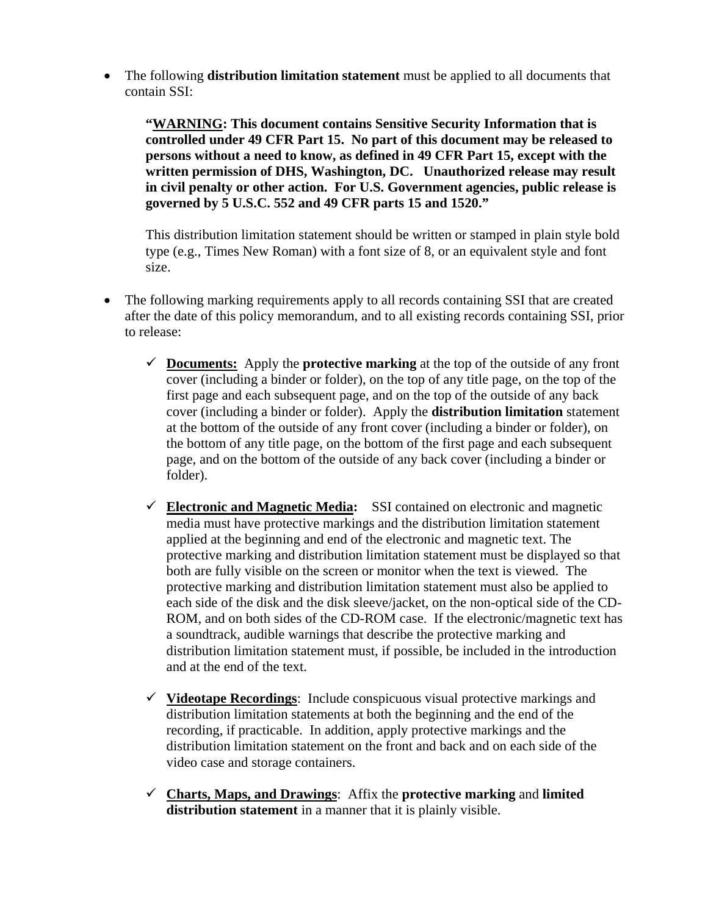• The following **distribution limitation statement** must be applied to all documents that contain SSI:

**"WARNING: This document contains Sensitive Security Information that is controlled under 49 CFR Part 15. No part of this document may be released to persons without a need to know, as defined in 49 CFR Part 15, except with the written permission of DHS, Washington, DC. Unauthorized release may result in civil penalty or other action. For U.S. Government agencies, public release is governed by 5 U.S.C. 552 and 49 CFR parts 15 and 1520."** 

This distribution limitation statement should be written or stamped in plain style bold type (e.g., Times New Roman) with a font size of 8, or an equivalent style and font size.

- The following marking requirements apply to all records containing SSI that are created after the date of this policy memorandum, and to all existing records containing SSI, prior to release:
	- $\checkmark$  **Documents:** Apply the **protective marking** at the top of the outside of any front cover (including a binder or folder), on the top of any title page, on the top of the first page and each subsequent page, and on the top of the outside of any back cover (including a binder or folder). Apply the **distribution limitation** statement at the bottom of the outside of any front cover (including a binder or folder), on the bottom of any title page, on the bottom of the first page and each subsequent page, and on the bottom of the outside of any back cover (including a binder or folder).
	- $\checkmark$  **Electronic and Magnetic Media:** SSI contained on electronic and magnetic media must have protective markings and the distribution limitation statement applied at the beginning and end of the electronic and magnetic text. The protective marking and distribution limitation statement must be displayed so that both are fully visible on the screen or monitor when the text is viewed. The protective marking and distribution limitation statement must also be applied to each side of the disk and the disk sleeve/jacket, on the non-optical side of the CD-ROM, and on both sides of the CD-ROM case. If the electronic/magnetic text has a soundtrack, audible warnings that describe the protective marking and distribution limitation statement must, if possible, be included in the introduction and at the end of the text.
	- 9 **Videotape Recordings**: Include conspicuous visual protective markings and distribution limitation statements at both the beginning and the end of the recording, if practicable. In addition, apply protective markings and the distribution limitation statement on the front and back and on each side of the video case and storage containers.
	- 9 **Charts, Maps, and Drawings**: Affix the **protective marking** and **limited distribution statement** in a manner that it is plainly visible.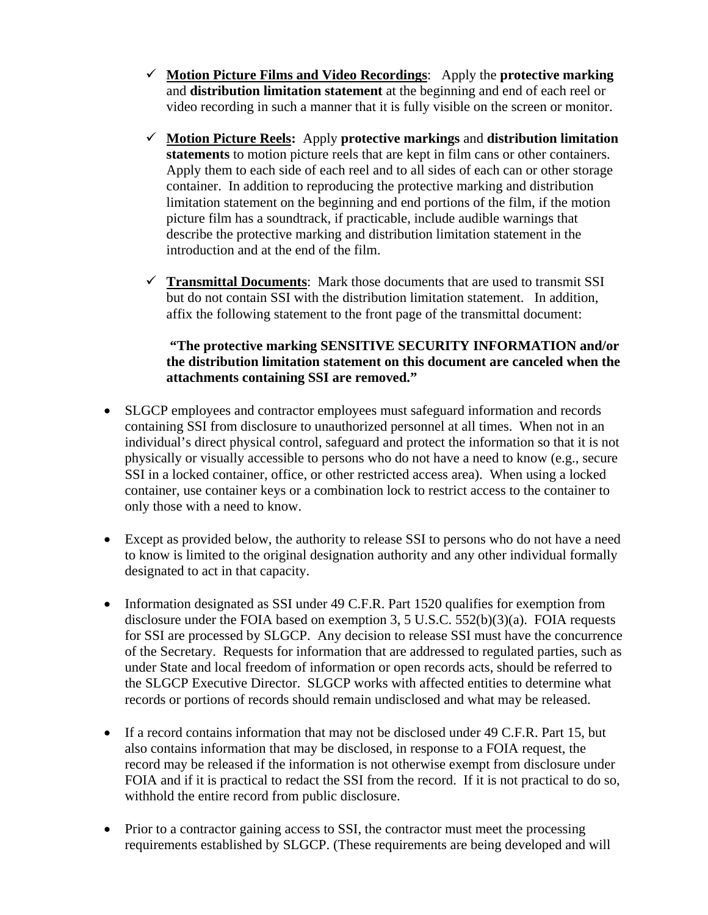- 9 **Motion Picture Films and Video Recordings**: Apply the **protective marking** and **distribution limitation statement** at the beginning and end of each reel or video recording in such a manner that it is fully visible on the screen or monitor.
- 9 **Motion Picture Reels:** Apply **protective markings** and **distribution limitation statements** to motion picture reels that are kept in film cans or other containers. Apply them to each side of each reel and to all sides of each can or other storage container. In addition to reproducing the protective marking and distribution limitation statement on the beginning and end portions of the film, if the motion picture film has a soundtrack, if practicable, include audible warnings that describe the protective marking and distribution limitation statement in the introduction and at the end of the film.
- $\checkmark$  **Transmittal Documents**: Mark those documents that are used to transmit SSI but do not contain SSI with the distribution limitation statement. In addition, affix the following statement to the front page of the transmittal document:

# **"The protective marking SENSITIVE SECURITY INFORMATION and/or the distribution limitation statement on this document are canceled when the attachments containing SSI are removed."**

- SLGCP employees and contractor employees must safeguard information and records containing SSI from disclosure to unauthorized personnel at all times. When not in an individual's direct physical control, safeguard and protect the information so that it is not physically or visually accessible to persons who do not have a need to know (e.g., secure SSI in a locked container, office, or other restricted access area). When using a locked container, use container keys or a combination lock to restrict access to the container to only those with a need to know.
- Except as provided below, the authority to release SSI to persons who do not have a need to know is limited to the original designation authority and any other individual formally designated to act in that capacity.
- Information designated as SSI under 49 C.F.R. Part 1520 qualifies for exemption from disclosure under the FOIA based on exemption 3, 5 U.S.C. 552(b)(3)(a). FOIA requests for SSI are processed by SLGCP. Any decision to release SSI must have the concurrence of the Secretary. Requests for information that are addressed to regulated parties, such as under State and local freedom of information or open records acts, should be referred to the SLGCP Executive Director. SLGCP works with affected entities to determine what records or portions of records should remain undisclosed and what may be released.
- If a record contains information that may not be disclosed under 49 C.F.R. Part 15, but also contains information that may be disclosed, in response to a FOIA request, the record may be released if the information is not otherwise exempt from disclosure under FOIA and if it is practical to redact the SSI from the record. If it is not practical to do so, withhold the entire record from public disclosure.
- Prior to a contractor gaining access to SSI, the contractor must meet the processing requirements established by SLGCP. (These requirements are being developed and will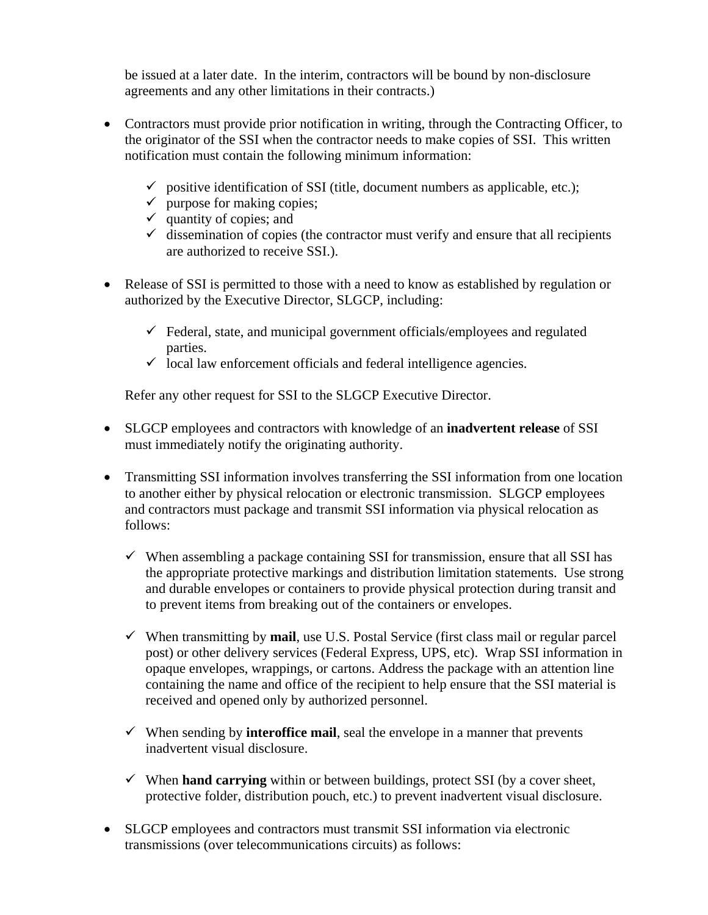be issued at a later date. In the interim, contractors will be bound by non-disclosure agreements and any other limitations in their contracts.)

- Contractors must provide prior notification in writing, through the Contracting Officer, to the originator of the SSI when the contractor needs to make copies of SSI. This written notification must contain the following minimum information:
	- $\checkmark$  positive identification of SSI (title, document numbers as applicable, etc.);
	- $\checkmark$  purpose for making copies;
	- $\checkmark$  quantity of copies; and
	- $\checkmark$  dissemination of copies (the contractor must verify and ensure that all recipients are authorized to receive SSI.).
- Release of SSI is permitted to those with a need to know as established by regulation or authorized by the Executive Director, SLGCP, including:
	- $\checkmark$  Federal, state, and municipal government officials/employees and regulated parties.
	- $\checkmark$  local law enforcement officials and federal intelligence agencies.

Refer any other request for SSI to the SLGCP Executive Director.

- SLGCP employees and contractors with knowledge of an **inadvertent release** of SSI must immediately notify the originating authority.
- Transmitting SSI information involves transferring the SSI information from one location to another either by physical relocation or electronic transmission. SLGCP employees and contractors must package and transmit SSI information via physical relocation as follows:
	- $\checkmark$  When assembling a package containing SSI for transmission, ensure that all SSI has the appropriate protective markings and distribution limitation statements. Use strong and durable envelopes or containers to provide physical protection during transit and to prevent items from breaking out of the containers or envelopes.
	- $\checkmark$  When transmitting by **mail**, use U.S. Postal Service (first class mail or regular parcel post) or other delivery services (Federal Express, UPS, etc). Wrap SSI information in opaque envelopes, wrappings, or cartons. Address the package with an attention line containing the name and office of the recipient to help ensure that the SSI material is received and opened only by authorized personnel.
	- $\checkmark$  When sending by **interoffice mail**, seal the envelope in a manner that prevents inadvertent visual disclosure.
	- $\checkmark$  When **hand carrying** within or between buildings, protect SSI (by a cover sheet, protective folder, distribution pouch, etc.) to prevent inadvertent visual disclosure.
- SLGCP employees and contractors must transmit SSI information via electronic transmissions (over telecommunications circuits) as follows: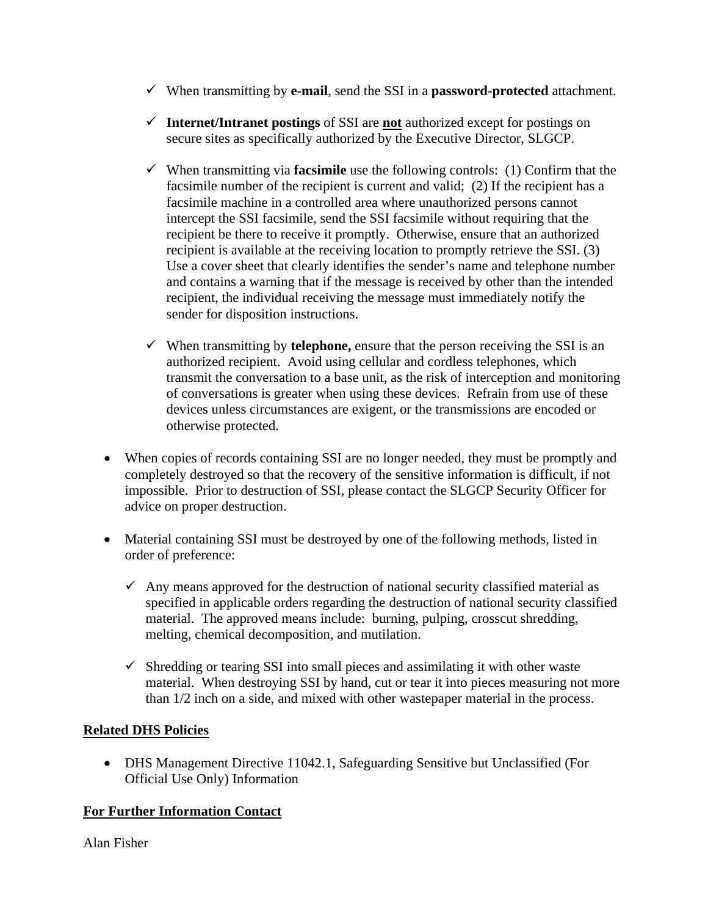- $\checkmark$  When transmitting by **e-mail**, send the SSI in a **password-protected** attachment.
- 9 **Internet/Intranet postings** of SSI are **not** authorized except for postings on secure sites as specifically authorized by the Executive Director, SLGCP.
- $\checkmark$  When transmitting via **facsimile** use the following controls: (1) Confirm that the facsimile number of the recipient is current and valid; (2) If the recipient has a facsimile machine in a controlled area where unauthorized persons cannot intercept the SSI facsimile, send the SSI facsimile without requiring that the recipient be there to receive it promptly. Otherwise, ensure that an authorized recipient is available at the receiving location to promptly retrieve the SSI. (3) Use a cover sheet that clearly identifies the sender's name and telephone number and contains a warning that if the message is received by other than the intended recipient, the individual receiving the message must immediately notify the sender for disposition instructions.
- $\checkmark$  When transmitting by **telephone**, ensure that the person receiving the SSI is an authorized recipient. Avoid using cellular and cordless telephones, which transmit the conversation to a base unit, as the risk of interception and monitoring of conversations is greater when using these devices. Refrain from use of these devices unless circumstances are exigent, or the transmissions are encoded or otherwise protected.
- When copies of records containing SSI are no longer needed, they must be promptly and completely destroyed so that the recovery of the sensitive information is difficult, if not impossible. Prior to destruction of SSI, please contact the SLGCP Security Officer for advice on proper destruction.
- Material containing SSI must be destroyed by one of the following methods, listed in order of preference:
	- $\checkmark$  Any means approved for the destruction of national security classified material as specified in applicable orders regarding the destruction of national security classified material. The approved means include: burning, pulping, crosscut shredding, melting, chemical decomposition, and mutilation.
	- $\checkmark$  Shredding or tearing SSI into small pieces and assimilating it with other waste material. When destroying SSI by hand, cut or tear it into pieces measuring not more than 1/2 inch on a side, and mixed with other wastepaper material in the process.

# **Related DHS Policies**

• DHS Management Directive 11042.1, Safeguarding Sensitive but Unclassified (For Official Use Only) Information

# **For Further Information Contact**

Alan Fisher